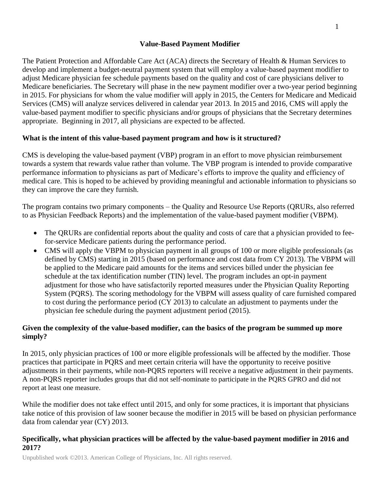### **Value-Based Payment Modifier**

The Patient Protection and Affordable Care Act (ACA) directs the Secretary of Health & Human Services to develop and implement a budget-neutral payment system that will employ a value-based payment modifier to adjust Medicare physician fee schedule payments based on the quality and cost of care physicians deliver to Medicare beneficiaries. The Secretary will phase in the new payment modifier over a two-year period beginning in 2015. For physicians for whom the value modifier will apply in 2015, the Centers for Medicare and Medicaid Services (CMS) will analyze services delivered in calendar year 2013. In 2015 and 2016, CMS will apply the value-based payment modifier to specific physicians and/or groups of physicians that the Secretary determines appropriate. Beginning in 2017, all physicians are expected to be affected.

#### **What is the intent of this value-based payment program and how is it structured?**

CMS is developing the value-based payment (VBP) program in an effort to move physician reimbursement towards a system that rewards value rather than volume. The VBP program is intended to provide comparative performance information to physicians as part of Medicare's efforts to improve the quality and efficiency of medical care. This is hoped to be achieved by providing meaningful and actionable information to physicians so they can improve the care they furnish.

The program contains two primary components – the Quality and Resource Use Reports (QRURs, also referred to as Physician Feedback Reports) and the implementation of the value-based payment modifier (VBPM).

- The ORURs are confidential reports about the quality and costs of care that a physician provided to feefor-service Medicare patients during the performance period.
- CMS will apply the VBPM to physician payment in all groups of 100 or more eligible professionals (as defined by CMS) starting in 2015 (based on performance and cost data from CY 2013). The VBPM will be applied to the Medicare paid amounts for the items and services billed under the physician fee schedule at the tax identification number (TIN) level. The program includes an opt-in payment adjustment for those who have satisfactorily reported measures under the Physician Quality Reporting System (PQRS). The scoring methodology for the VBPM will assess quality of care furnished compared to cost during the performance period (CY 2013) to calculate an adjustment to payments under the physician fee schedule during the payment adjustment period (2015).

#### **Given the complexity of the value-based modifier, can the basics of the program be summed up more simply?**

In 2015, only physician practices of 100 or more eligible professionals will be affected by the modifier. Those practices that participate in PQRS and meet certain criteria will have the opportunity to receive positive adjustments in their payments, while non-PQRS reporters will receive a negative adjustment in their payments. A non-PQRS reporter includes groups that did not self-nominate to participate in the PQRS GPRO and did not report at least one measure.

While the modifier does not take effect until 2015, and only for some practices, it is important that physicians take notice of this provision of law sooner because the modifier in 2015 will be based on physician performance data from calendar year (CY) 2013.

#### **Specifically, what physician practices will be affected by the value-based payment modifier in 2016 and 2017?**

Unpublished work ©2013. American College of Physicians, Inc. All rights reserved.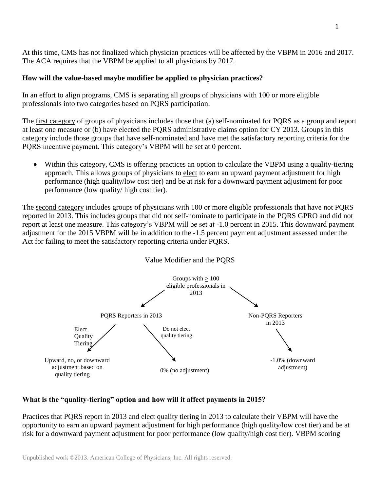At this time, CMS has not finalized which physician practices will be affected by the VBPM in 2016 and 2017. The ACA requires that the VBPM be applied to all physicians by 2017.

## **How will the value-based maybe modifier be applied to physician practices?**

In an effort to align programs, CMS is separating all groups of physicians with 100 or more eligible professionals into two categories based on PQRS participation.

The first category of groups of physicians includes those that (a) self-nominated for PQRS as a group and report at least one measure or (b) have elected the PQRS administrative claims option for CY 2013. Groups in this category include those groups that have self-nominated and have met the satisfactory reporting criteria for the PQRS incentive payment. This category's VBPM will be set at 0 percent.

 Within this category, CMS is offering practices an option to calculate the VBPM using a quality-tiering approach. This allows groups of physicians to elect to earn an upward payment adjustment for high performance (high quality/low cost tier) and be at risk for a downward payment adjustment for poor performance (low quality/ high cost tier).

The second category includes groups of physicians with 100 or more eligible professionals that have not PQRS reported in 2013. This includes groups that did not self-nominate to participate in the PQRS GPRO and did not report at least one measure. This category's VBPM will be set at -1.0 percent in 2015. This downward payment adjustment for the 2015 VBPM will be in addition to the -1.5 percent payment adjustment assessed under the Act for failing to meet the satisfactory reporting criteria under PQRS.





# **What is the "quality-tiering" option and how will it affect payments in 2015?**

Practices that PQRS report in 2013 and elect quality tiering in 2013 to calculate their VBPM will have the opportunity to earn an upward payment adjustment for high performance (high quality/low cost tier) and be at risk for a downward payment adjustment for poor performance (low quality/high cost tier). VBPM scoring